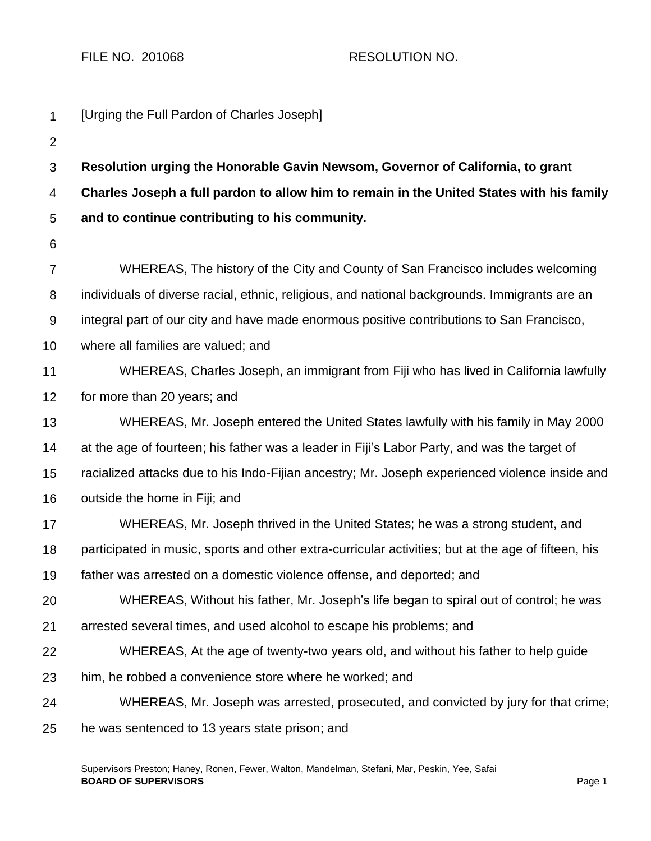FILE NO. 201068 RESOLUTION NO.

| $\mathbf{1}$   | [Urging the Full Pardon of Charles Joseph]                                                          |
|----------------|-----------------------------------------------------------------------------------------------------|
| $\overline{2}$ |                                                                                                     |
| $\mathfrak{S}$ | Resolution urging the Honorable Gavin Newsom, Governor of California, to grant                      |
| 4              | Charles Joseph a full pardon to allow him to remain in the United States with his family            |
| 5              | and to continue contributing to his community.                                                      |
| 6              |                                                                                                     |
| $\overline{7}$ | WHEREAS, The history of the City and County of San Francisco includes welcoming                     |
| 8              | individuals of diverse racial, ethnic, religious, and national backgrounds. Immigrants are an       |
| 9              | integral part of our city and have made enormous positive contributions to San Francisco,           |
| 10             | where all families are valued; and                                                                  |
| 11             | WHEREAS, Charles Joseph, an immigrant from Fiji who has lived in California lawfully                |
| 12             | for more than 20 years; and                                                                         |
| 13             | WHEREAS, Mr. Joseph entered the United States lawfully with his family in May 2000                  |
| 14             | at the age of fourteen; his father was a leader in Fiji's Labor Party, and was the target of        |
| 15             | racialized attacks due to his Indo-Fijian ancestry; Mr. Joseph experienced violence inside and      |
| 16             | outside the home in Fiji; and                                                                       |
| 17             | WHEREAS, Mr. Joseph thrived in the United States; he was a strong student, and                      |
| 18             | participated in music, sports and other extra-curricular activities; but at the age of fifteen, his |
| 19             | father was arrested on a domestic violence offense, and deported; and                               |
| 20             | WHEREAS, Without his father, Mr. Joseph's life began to spiral out of control; he was               |
| 21             | arrested several times, and used alcohol to escape his problems; and                                |
| 22             | WHEREAS, At the age of twenty-two years old, and without his father to help guide                   |
| 23             | him, he robbed a convenience store where he worked; and                                             |
| 24             | WHEREAS, Mr. Joseph was arrested, prosecuted, and convicted by jury for that crime;                 |
| 25             | he was sentenced to 13 years state prison; and                                                      |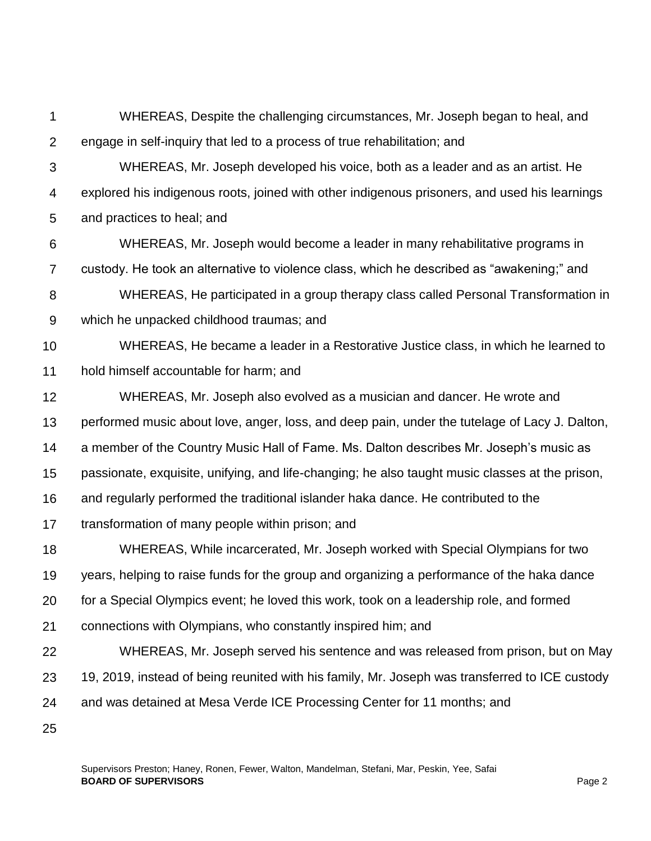1 2 WHEREAS, Despite the challenging circumstances, Mr. Joseph began to heal, and engage in self-inquiry that led to a process of true rehabilitation; and

- 3 4 5 WHEREAS, Mr. Joseph developed his voice, both as a leader and as an artist. He explored his indigenous roots, joined with other indigenous prisoners, and used his learnings and practices to heal; and
- 6 7 WHEREAS, Mr. Joseph would become a leader in many rehabilitative programs in custody. He took an alternative to violence class, which he described as "awakening;" and
- 8 9 WHEREAS, He participated in a group therapy class called Personal Transformation in which he unpacked childhood traumas; and
- 10 11 WHEREAS, He became a leader in a Restorative Justice class, in which he learned to hold himself accountable for harm; and
- 12 13 14 15 16 17 18 19 20 21 22 23 WHEREAS, Mr. Joseph also evolved as a musician and dancer. He wrote and performed music about love, anger, loss, and deep pain, under the tutelage of Lacy J. Dalton, a member of the Country Music Hall of Fame. Ms. Dalton describes Mr. Joseph's music as passionate, exquisite, unifying, and life-changing; he also taught music classes at the prison, and regularly performed the traditional islander haka dance. He contributed to the transformation of many people within prison; and WHEREAS, While incarcerated, Mr. Joseph worked with Special Olympians for two years, helping to raise funds for the group and organizing a performance of the haka dance for a Special Olympics event; he loved this work, took on a leadership role, and formed connections with Olympians, who constantly inspired him; and WHEREAS, Mr. Joseph served his sentence and was released from prison, but on May 19, 2019, instead of being reunited with his family, Mr. Joseph was transferred to ICE custody
- 24 and was detained at Mesa Verde ICE Processing Center for 11 months; and
- 25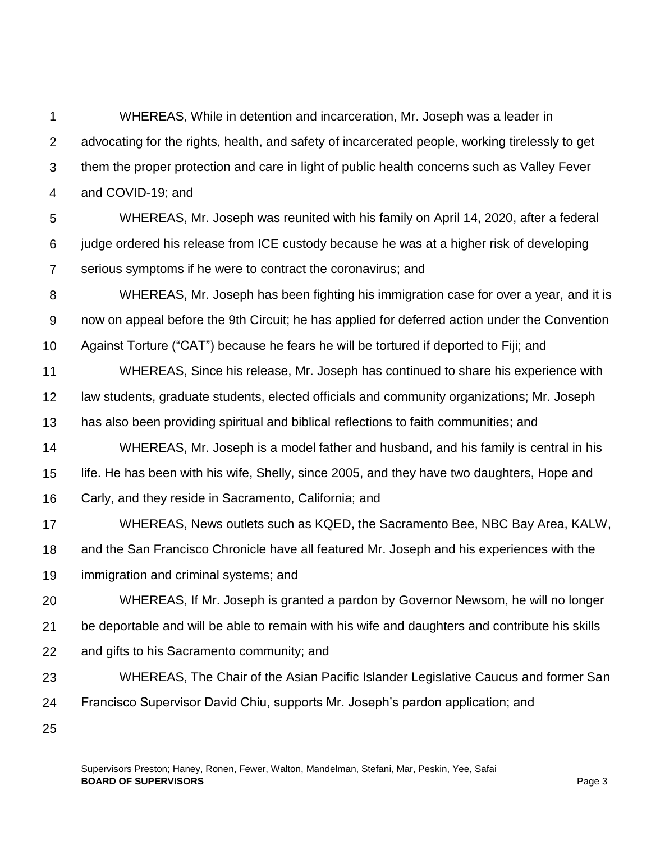1 2 3 4 WHEREAS, While in detention and incarceration, Mr. Joseph was a leader in advocating for the rights, health, and safety of incarcerated people, working tirelessly to get them the proper protection and care in light of public health concerns such as Valley Fever and COVID-19; and

5 6 7 WHEREAS, Mr. Joseph was reunited with his family on April 14, 2020, after a federal judge ordered his release from ICE custody because he was at a higher risk of developing serious symptoms if he were to contract the coronavirus; and

8 9 10 WHEREAS, Mr. Joseph has been fighting his immigration case for over a year, and it is now on appeal before the 9th Circuit; he has applied for deferred action under the Convention Against Torture ("CAT") because he fears he will be tortured if deported to Fiji; and

11 12 13 WHEREAS, Since his release, Mr. Joseph has continued to share his experience with law students, graduate students, elected officials and community organizations; Mr. Joseph has also been providing spiritual and biblical reflections to faith communities; and

14 15 16 WHEREAS, Mr. Joseph is a model father and husband, and his family is central in his life. He has been with his wife, Shelly, since 2005, and they have two daughters, Hope and Carly, and they reside in Sacramento, California; and

17 18 19 WHEREAS, News outlets such as KQED, the Sacramento Bee, NBC Bay Area, KALW, and the San Francisco Chronicle have all featured Mr. Joseph and his experiences with the immigration and criminal systems; and

20 21 22 WHEREAS, If Mr. Joseph is granted a pardon by Governor Newsom, he will no longer be deportable and will be able to remain with his wife and daughters and contribute his skills and gifts to his Sacramento community; and

23 24 WHEREAS, The Chair of the Asian Pacific Islander Legislative Caucus and former San Francisco Supervisor David Chiu, supports Mr. Joseph's pardon application; and

25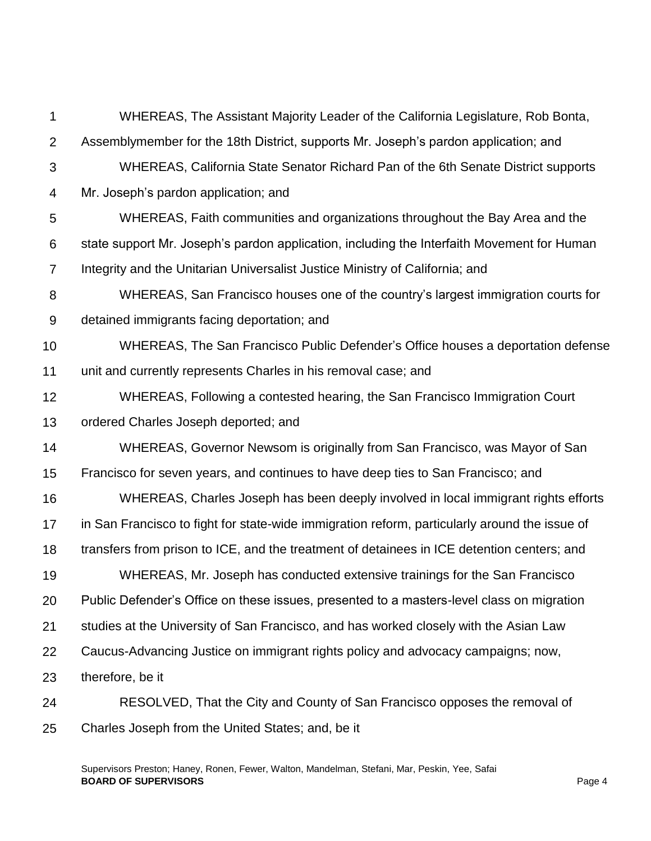1 2 3 4 5 6 7 8 9 10 11 12 13 14 15 16 17 18 19 20 21 22 23 24 25 WHEREAS, The Assistant Majority Leader of the California Legislature, Rob Bonta, Assemblymember for the 18th District, supports Mr. Joseph's pardon application; and WHEREAS, California State Senator Richard Pan of the 6th Senate District supports Mr. Joseph's pardon application; and WHEREAS, Faith communities and organizations throughout the Bay Area and the state support Mr. Joseph's pardon application, including the Interfaith Movement for Human Integrity and the Unitarian Universalist Justice Ministry of California; and WHEREAS, San Francisco houses one of the country's largest immigration courts for detained immigrants facing deportation; and WHEREAS, The San Francisco Public Defender's Office houses a deportation defense unit and currently represents Charles in his removal case; and WHEREAS, Following a contested hearing, the San Francisco Immigration Court ordered Charles Joseph deported; and WHEREAS, Governor Newsom is originally from San Francisco, was Mayor of San Francisco for seven years, and continues to have deep ties to San Francisco; and WHEREAS, Charles Joseph has been deeply involved in local immigrant rights efforts in San Francisco to fight for state-wide immigration reform, particularly around the issue of transfers from prison to ICE, and the treatment of detainees in ICE detention centers; and WHEREAS, Mr. Joseph has conducted extensive trainings for the San Francisco Public Defender's Office on these issues, presented to a masters-level class on migration studies at the University of San Francisco, and has worked closely with the Asian Law Caucus-Advancing Justice on immigrant rights policy and advocacy campaigns; now, therefore, be it RESOLVED, That the City and County of San Francisco opposes the removal of Charles Joseph from the United States; and, be it